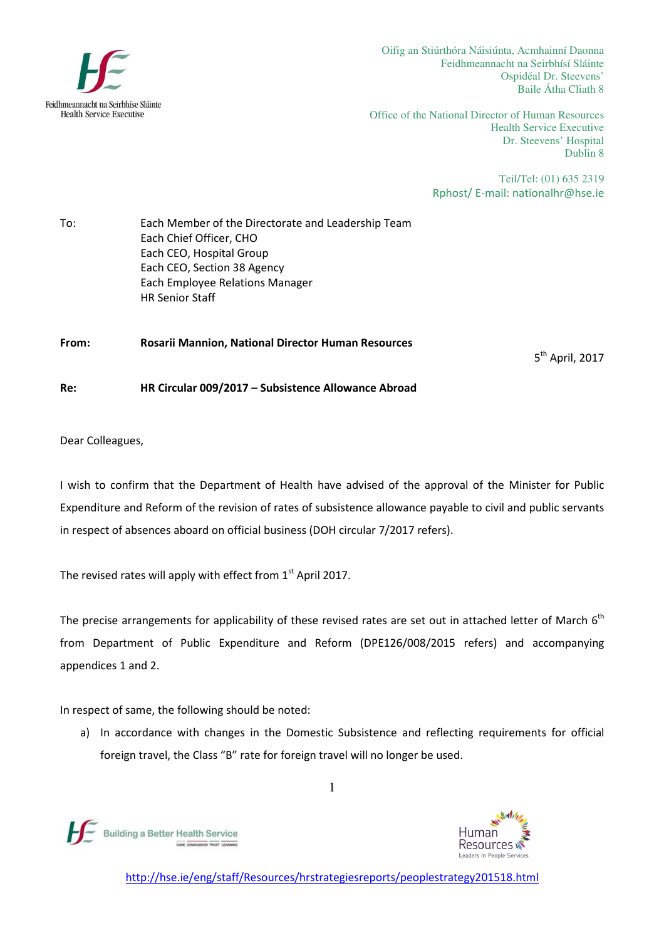

Oifig an Stiúrthóra Náisiúnta, Acmhainní Daonna Feidhmeannacht na Seirbhísí Sláinte Ospidéal Dr. Steevens' Baile Átha Cliath 8

Office of the National Director of Human Resources Health Service Executive Dr. Steevens' Hospital Dublin 8

> Teil/Tel: (01) 635 2319 Rphost/ E-mail: nationalhr@hse.ie

To: Each Member of the Directorate and Leadership Team Each Chief Officer, CHO Each CEO, Hospital Group Each CEO, Section 38 Agency Each Employee Relations Manager HR Senior Staff

From: Rosarii Mannion, National Director Human Resources

5<sup>th</sup> April, 2017

Re: HR Circular 009/2017 – Subsistence Allowance Abroad

Dear Colleagues,

I wish to confirm that the Department of Health have advised of the approval of the Minister for Public Expenditure and Reform of the revision of rates of subsistence allowance payable to civil and public servants in respect of absences aboard on official business (DOH circular 7/2017 refers).

The revised rates will apply with effect from  $1<sup>st</sup>$  April 2017.

The precise arrangements for applicability of these revised rates are set out in attached letter of March  $6<sup>th</sup>$ from Department of Public Expenditure and Reform (DPE126/008/2015 refers) and accompanying appendices 1 and 2.

In respect of same, the following should be noted:

a) In accordance with changes in the Domestic Subsistence and reflecting requirements for official foreign travel, the Class "B" rate for foreign travel will no longer be used.





1